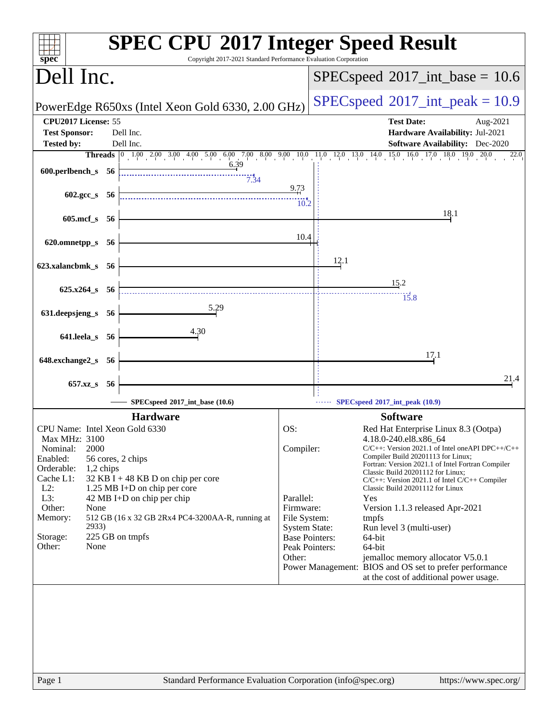| Copyright 2017-2021 Standard Performance Evaluation Corporation<br>$spec^*$                              | <b>SPEC CPU®2017 Integer Speed Result</b>                                                                                                                                                             |
|----------------------------------------------------------------------------------------------------------|-------------------------------------------------------------------------------------------------------------------------------------------------------------------------------------------------------|
| Dell Inc.                                                                                                | $SPEC speed^{\circ}2017\_int\_base = 10.6$                                                                                                                                                            |
| PowerEdge R650xs (Intel Xeon Gold 6330, 2.00 GHz)                                                        | $SPEC speed^{\circ}2017\_int\_peak = 10.9$                                                                                                                                                            |
| CPU2017 License: 55<br><b>Test Sponsor:</b><br>Dell Inc.                                                 | <b>Test Date:</b><br>Aug-2021<br>Hardware Availability: Jul-2021                                                                                                                                      |
| <b>Tested by:</b><br>Dell Inc.                                                                           | Software Availability: Dec-2020                                                                                                                                                                       |
|                                                                                                          | <b>Threads</b> $\begin{bmatrix} 0 & 1.00 & 2.00 & 3.00 & 4.00 & 5.00 & 6.00 & 7.00 & 8.00 & 9.00 & 10.0 & 11.0 & 12.0 & 13.0 & 14.0 & 15.0 & 16.0 & 17.0 & 18.0 & 19.0 \end{bmatrix}$<br>20.0<br>22.0 |
| 6.39<br>600.perlbench_s 56<br>7.34                                                                       |                                                                                                                                                                                                       |
| $602.\text{gcc s}$ 56                                                                                    | 9.73<br>10.2                                                                                                                                                                                          |
| 605.mcf_s 56                                                                                             | 18.1                                                                                                                                                                                                  |
| 620.omnetpp_s<br>- 56                                                                                    | 10.4                                                                                                                                                                                                  |
| 623.xalancbmk_s 56                                                                                       | 12.1<br>15.2                                                                                                                                                                                          |
| $625.x264$ s 56                                                                                          | 15.8                                                                                                                                                                                                  |
| 5.29<br>631.deepsjeng_s<br>- 56                                                                          |                                                                                                                                                                                                       |
| 4.30<br>641.leela_s 56                                                                                   | 17.1                                                                                                                                                                                                  |
| 648.exchange2_s 56                                                                                       |                                                                                                                                                                                                       |
| 657.xz_s<br>-56                                                                                          | 21.4                                                                                                                                                                                                  |
| SPECspeed®2017_int_base (10.6)                                                                           | SPECspeed®2017_int_peak (10.9)                                                                                                                                                                        |
| <b>Hardware</b>                                                                                          | <b>Software</b>                                                                                                                                                                                       |
| CPU Name: Intel Xeon Gold 6330<br>Max MHz: 3100                                                          | OS:<br>Red Hat Enterprise Linux 8.3 (Ootpa)<br>4.18.0-240.el8.x86_64                                                                                                                                  |
| 2000<br>Nominal:<br>Enabled:<br>56 cores, 2 chips<br>Orderable:                                          | Compiler:<br>$C/C++$ : Version 2021.1 of Intel one API DPC++/C++<br>Compiler Build 20201113 for Linux;<br>Fortran: Version 2021.1 of Intel Fortran Compiler                                           |
| $1,2$ chips<br>Cache L1:<br>32 KB I + 48 KB D on chip per core<br>$L2$ :<br>1.25 MB I+D on chip per core | Classic Build 20201112 for Linux;<br>$C/C++$ : Version 2021.1 of Intel $C/C++$ Compiler<br>Classic Build 20201112 for Linux                                                                           |
| L3:<br>42 MB I+D on chip per chip                                                                        | Parallel:<br>Yes                                                                                                                                                                                      |
| Other:<br>None<br>512 GB (16 x 32 GB 2Rx4 PC4-3200AA-R, running at                                       | Firmware:<br>Version 1.1.3 released Apr-2021                                                                                                                                                          |
| Memory:<br>2933)                                                                                         | File System:<br>tmpfs<br><b>System State:</b><br>Run level 3 (multi-user)                                                                                                                             |
| 225 GB on tmpfs<br>Storage:                                                                              | <b>Base Pointers:</b><br>64-bit                                                                                                                                                                       |
| Other:<br>None                                                                                           | Peak Pointers:<br>64-bit<br>Other:<br>jemalloc memory allocator V5.0.1                                                                                                                                |
|                                                                                                          | Power Management: BIOS and OS set to prefer performance<br>at the cost of additional power usage.                                                                                                     |
|                                                                                                          |                                                                                                                                                                                                       |
|                                                                                                          |                                                                                                                                                                                                       |
|                                                                                                          |                                                                                                                                                                                                       |
|                                                                                                          |                                                                                                                                                                                                       |
|                                                                                                          |                                                                                                                                                                                                       |
|                                                                                                          |                                                                                                                                                                                                       |
| Page 1                                                                                                   | Standard Performance Evaluation Corporation (info@spec.org)<br>https://www.spec.org/                                                                                                                  |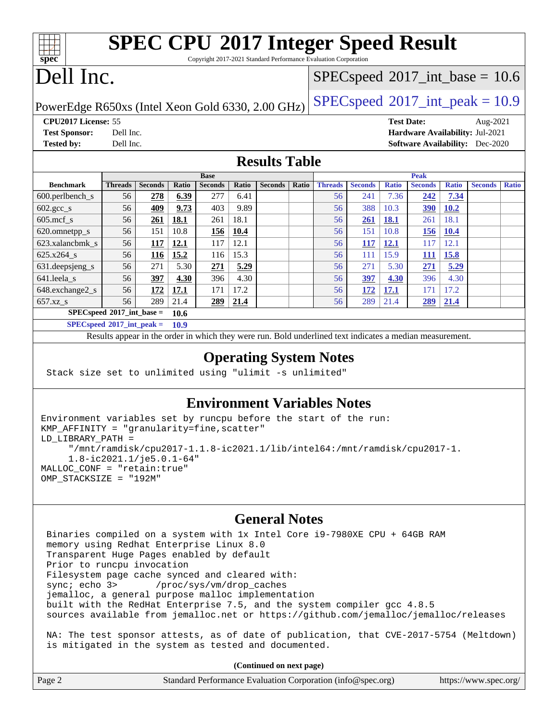| <b>SPEC CPU®2017 Integer Speed Result</b><br>spec<br>Copyright 2017-2021 Standard Performance Evaluation Corporation |                                                                                                          |                |       |                |                                            |                |       |                |                |                   |                                        |              |                |              |
|----------------------------------------------------------------------------------------------------------------------|----------------------------------------------------------------------------------------------------------|----------------|-------|----------------|--------------------------------------------|----------------|-------|----------------|----------------|-------------------|----------------------------------------|--------------|----------------|--------------|
| Dell Inc.                                                                                                            |                                                                                                          |                |       |                | $SPEC speed^{\circ}2017\_int\_base = 10.6$ |                |       |                |                |                   |                                        |              |                |              |
| $SPEC speed$ <sup>®</sup> $2017$ _int_peak = 10.9<br>PowerEdge R650xs (Intel Xeon Gold 6330, 2.00 GHz)               |                                                                                                          |                |       |                |                                            |                |       |                |                |                   |                                        |              |                |              |
| CPU2017 License: 55                                                                                                  |                                                                                                          |                |       |                |                                            |                |       |                |                | <b>Test Date:</b> |                                        |              | Aug-2021       |              |
| <b>Test Sponsor:</b>                                                                                                 | Dell Inc.                                                                                                |                |       |                |                                            |                |       |                |                |                   | Hardware Availability: Jul-2021        |              |                |              |
| <b>Tested by:</b>                                                                                                    | Dell Inc.                                                                                                |                |       |                |                                            |                |       |                |                |                   | <b>Software Availability:</b> Dec-2020 |              |                |              |
| <b>Results Table</b>                                                                                                 |                                                                                                          |                |       |                |                                            |                |       |                |                |                   |                                        |              |                |              |
| <b>Base</b>                                                                                                          |                                                                                                          |                |       |                | <b>Peak</b>                                |                |       |                |                |                   |                                        |              |                |              |
| <b>Benchmark</b>                                                                                                     | <b>Threads</b>                                                                                           | <b>Seconds</b> | Ratio | <b>Seconds</b> | Ratio                                      | <b>Seconds</b> | Ratio | <b>Threads</b> | <b>Seconds</b> | <b>Ratio</b>      | <b>Seconds</b>                         | <b>Ratio</b> | <b>Seconds</b> | <b>Ratio</b> |
| $600.$ perlbench $_s$                                                                                                | 56                                                                                                       | 278            | 6.39  | 277            | 6.41                                       |                |       | 56             | 241            | 7.36              | 242                                    | 7.34         |                |              |
| $602.\text{gcc s}$                                                                                                   | 56                                                                                                       | 409            | 9.73  | 403            | 9.89                                       |                |       | 56             | 388            | 10.3              | <b>390</b>                             | 10.2         |                |              |
| $605$ .mcf s                                                                                                         | 56                                                                                                       | 261            | 18.1  | 261            | 18.1                                       |                |       | 56             | 261            | <b>18.1</b>       | 261                                    | 18.1         |                |              |
| 620.omnetpp_s                                                                                                        | 56                                                                                                       | 151            | 10.8  | 156            | 10.4                                       |                |       | 56             | 151            | 10.8              | <b>156</b>                             | <b>10.4</b>  |                |              |
| 623.xalancbmk s                                                                                                      | 56                                                                                                       | 117            | 12.1  | 117            | 12.1                                       |                |       | 56             | 117            | 12.1              | 117                                    | 12.1         |                |              |
| 625.x264_s                                                                                                           | 56                                                                                                       | <b>116</b>     | 15.2  | 116            | 15.3                                       |                |       | 56             | 111            | 15.9              | <b>111</b>                             | 15.8         |                |              |
| 631.deepsjeng_s                                                                                                      | 56                                                                                                       | 271            | 5.30  | 271            | 5.29                                       |                |       | 56             | 271            | 5.30              | 271                                    | 5.29         |                |              |
| 641.leela s                                                                                                          | 56                                                                                                       | 397            | 4.30  | 396            | 4.30                                       |                |       | 56             | 397            | 4.30              | 396                                    | 4.30         |                |              |
| 648.exchange2_s                                                                                                      | 56                                                                                                       | 172            | 17.1  | 171            | 17.2                                       |                |       | 56             | <u>172</u>     | <b>17.1</b>       | 171                                    | 17.2         |                |              |
| $657.xz$ <sub>S</sub>                                                                                                | 56                                                                                                       | 289            | 21.4  | 289            | 21.4                                       |                |       | 56             | 289            | 21.4              | 289                                    | 21.4         |                |              |
|                                                                                                                      | $SPEC speed^{\circ}2017$ int base =<br>10.6                                                              |                |       |                |                                            |                |       |                |                |                   |                                        |              |                |              |
| $SPEC speed*2017\_int\_peak =$<br>10.9                                                                               |                                                                                                          |                |       |                |                                            |                |       |                |                |                   |                                        |              |                |              |
|                                                                                                                      | Results appear in the order in which they were run. Bold underlined text indicates a median measurement. |                |       |                |                                            |                |       |                |                |                   |                                        |              |                |              |

### **[Operating System Notes](http://www.spec.org/auto/cpu2017/Docs/result-fields.html#OperatingSystemNotes)**

Stack size set to unlimited using "ulimit -s unlimited"

### **[Environment Variables Notes](http://www.spec.org/auto/cpu2017/Docs/result-fields.html#EnvironmentVariablesNotes)**

```
Environment variables set by runcpu before the start of the run:
KMP_AFFINITY = "granularity=fine,scatter"
LD_LIBRARY_PATH =
      "/mnt/ramdisk/cpu2017-1.1.8-ic2021.1/lib/intel64:/mnt/ramdisk/cpu2017-1.
      1.8-ic2021.1/je5.0.1-64"
MALLOC_CONF = "retain:true"
OMP_STACKSIZE = "192M"
```
#### **[General Notes](http://www.spec.org/auto/cpu2017/Docs/result-fields.html#GeneralNotes)**

 Binaries compiled on a system with 1x Intel Core i9-7980XE CPU + 64GB RAM memory using Redhat Enterprise Linux 8.0 Transparent Huge Pages enabled by default Prior to runcpu invocation Filesystem page cache synced and cleared with: sync; echo 3> /proc/sys/vm/drop\_caches jemalloc, a general purpose malloc implementation built with the RedHat Enterprise 7.5, and the system compiler gcc 4.8.5 sources available from jemalloc.net or <https://github.com/jemalloc/jemalloc/releases> NA: The test sponsor attests, as of date of publication, that CVE-2017-5754 (Meltdown) is mitigated in the system as tested and documented.

**(Continued on next page)**

| Page 2 | Standard Performance Evaluation Corporation (info@spec.org) | https://www.spec.org/ |
|--------|-------------------------------------------------------------|-----------------------|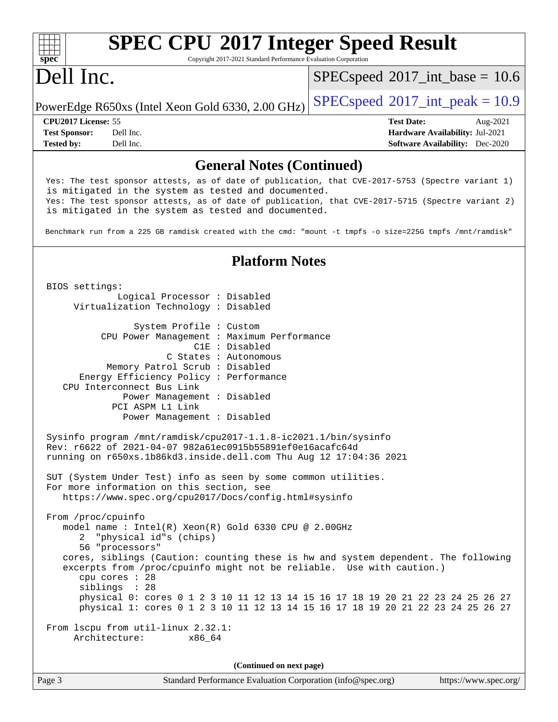#### **[spec](http://www.spec.org/) [SPEC CPU](http://www.spec.org/auto/cpu2017/Docs/result-fields.html#SPECCPU2017IntegerSpeedResult)[2017 Integer Speed Result](http://www.spec.org/auto/cpu2017/Docs/result-fields.html#SPECCPU2017IntegerSpeedResult)** Copyright 2017-2021 Standard Performance Evaluation Corporation Dell Inc. PowerEdge R650xs (Intel Xeon Gold 6330, 2.00 GHz)  $\left|$  [SPECspeed](http://www.spec.org/auto/cpu2017/Docs/result-fields.html#SPECspeed2017intpeak)<sup>®</sup>[2017\\_int\\_peak = 1](http://www.spec.org/auto/cpu2017/Docs/result-fields.html#SPECspeed2017intpeak)0.9  $SPECspeed^{\circledcirc}2017\_int\_base = 10.6$  $SPECspeed^{\circledcirc}2017\_int\_base = 10.6$ **[CPU2017 License:](http://www.spec.org/auto/cpu2017/Docs/result-fields.html#CPU2017License)** 55 **[Test Date:](http://www.spec.org/auto/cpu2017/Docs/result-fields.html#TestDate)** Aug-2021 **[Test Sponsor:](http://www.spec.org/auto/cpu2017/Docs/result-fields.html#TestSponsor)** Dell Inc. **[Hardware Availability:](http://www.spec.org/auto/cpu2017/Docs/result-fields.html#HardwareAvailability)** Jul-2021 **[Tested by:](http://www.spec.org/auto/cpu2017/Docs/result-fields.html#Testedby)** Dell Inc. **[Software Availability:](http://www.spec.org/auto/cpu2017/Docs/result-fields.html#SoftwareAvailability)** Dec-2020 **[General Notes \(Continued\)](http://www.spec.org/auto/cpu2017/Docs/result-fields.html#GeneralNotes)** Yes: The test sponsor attests, as of date of publication, that CVE-2017-5753 (Spectre variant 1) is mitigated in the system as tested and documented. Yes: The test sponsor attests, as of date of publication, that CVE-2017-5715 (Spectre variant 2) is mitigated in the system as tested and documented. Benchmark run from a 225 GB ramdisk created with the cmd: "mount -t tmpfs -o size=225G tmpfs /mnt/ramdisk" **[Platform Notes](http://www.spec.org/auto/cpu2017/Docs/result-fields.html#PlatformNotes)** BIOS settings: Logical Processor : Disabled Virtualization Technology : Disabled System Profile : Custom CPU Power Management : Maximum Performance C1E : Disabled C States : Autonomous Memory Patrol Scrub : Disabled Energy Efficiency Policy : Performance CPU Interconnect Bus Link Power Management : Disabled PCI ASPM L1 Link Power Management : Disabled Sysinfo program /mnt/ramdisk/cpu2017-1.1.8-ic2021.1/bin/sysinfo Rev: r6622 of 2021-04-07 982a61ec0915b55891ef0e16acafc64d running on r650xs.1b86kd3.inside.dell.com Thu Aug 12 17:04:36 2021 SUT (System Under Test) info as seen by some common utilities. For more information on this section, see <https://www.spec.org/cpu2017/Docs/config.html#sysinfo> From /proc/cpuinfo model name : Intel(R) Xeon(R) Gold 6330 CPU @ 2.00GHz 2 "physical id"s (chips) 56 "processors" cores, siblings (Caution: counting these is hw and system dependent. The following excerpts from /proc/cpuinfo might not be reliable. Use with caution.) cpu cores : 28 siblings : 28 physical 0: cores 0 1 2 3 10 11 12 13 14 15 16 17 18 19 20 21 22 23 24 25 26 27 physical 1: cores 0 1 2 3 10 11 12 13 14 15 16 17 18 19 20 21 22 23 24 25 26 27 From lscpu from util-linux 2.32.1: Architecture: x86\_64 **(Continued on next page)**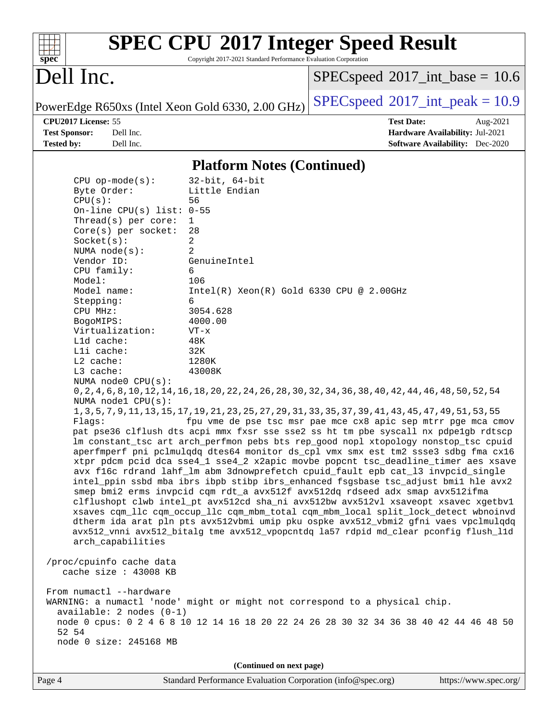| S)<br>оe<br>L. |  |  |  |  |  |  |
|----------------|--|--|--|--|--|--|

# **[SPEC CPU](http://www.spec.org/auto/cpu2017/Docs/result-fields.html#SPECCPU2017IntegerSpeedResult)[2017 Integer Speed Result](http://www.spec.org/auto/cpu2017/Docs/result-fields.html#SPECCPU2017IntegerSpeedResult)**

Copyright 2017-2021 Standard Performance Evaluation Corporation

## Dell Inc.

 $SPECspeed^{\circledcirc}2017\_int\_base = 10.6$  $SPECspeed^{\circledcirc}2017\_int\_base = 10.6$ 

**[Tested by:](http://www.spec.org/auto/cpu2017/Docs/result-fields.html#Testedby)** Dell Inc. **[Software Availability:](http://www.spec.org/auto/cpu2017/Docs/result-fields.html#SoftwareAvailability)** Dec-2020

PowerEdge R650xs (Intel Xeon Gold 6330, 2.00 GHz)  $\left|$  [SPECspeed](http://www.spec.org/auto/cpu2017/Docs/result-fields.html#SPECspeed2017intpeak)<sup>®</sup>[2017\\_int\\_peak = 1](http://www.spec.org/auto/cpu2017/Docs/result-fields.html#SPECspeed2017intpeak)0.9

**[CPU2017 License:](http://www.spec.org/auto/cpu2017/Docs/result-fields.html#CPU2017License)** 55 **[Test Date:](http://www.spec.org/auto/cpu2017/Docs/result-fields.html#TestDate)** Aug-2021 **[Test Sponsor:](http://www.spec.org/auto/cpu2017/Docs/result-fields.html#TestSponsor)** Dell Inc. **[Hardware Availability:](http://www.spec.org/auto/cpu2017/Docs/result-fields.html#HardwareAvailability)** Jul-2021

#### **[Platform Notes \(Continued\)](http://www.spec.org/auto/cpu2017/Docs/result-fields.html#PlatformNotes)**

 CPU op-mode(s): 32-bit, 64-bit Byte Order: Little Endian CPU(s): 56 On-line CPU(s) list: 0-55 Thread(s) per core: 1 Core(s) per socket: 28  $Socket(s):$  NUMA node(s): 2 Vendor ID: GenuineIntel CPU family: 6 Model: 106 Model name: Intel(R) Xeon(R) Gold 6330 CPU @ 2.00GHz Stepping: 6 CPU MHz: 3054.628 BogoMIPS: 4000.00 Virtualization: VT-x L1d cache: 48K L1i cache: 32K L2 cache: 1280K L3 cache: 43008K NUMA node0 CPU(s): 0,2,4,6,8,10,12,14,16,18,20,22,24,26,28,30,32,34,36,38,40,42,44,46,48,50,52,54 NUMA node1 CPU(s): 1,3,5,7,9,11,13,15,17,19,21,23,25,27,29,31,33,35,37,39,41,43,45,47,49,51,53,55 Flags: fpu vme de pse tsc msr pae mce cx8 apic sep mtrr pge mca cmov pat pse36 clflush dts acpi mmx fxsr sse sse2 ss ht tm pbe syscall nx pdpe1gb rdtscp lm constant\_tsc art arch\_perfmon pebs bts rep\_good nopl xtopology nonstop\_tsc cpuid aperfmperf pni pclmulqdq dtes64 monitor ds\_cpl vmx smx est tm2 ssse3 sdbg fma cx16 xtpr pdcm pcid dca sse4\_1 sse4\_2 x2apic movbe popcnt tsc\_deadline\_timer aes xsave avx f16c rdrand lahf\_lm abm 3dnowprefetch cpuid\_fault epb cat\_l3 invpcid\_single intel\_ppin ssbd mba ibrs ibpb stibp ibrs\_enhanced fsgsbase tsc\_adjust bmi1 hle avx2 smep bmi2 erms invpcid cqm rdt\_a avx512f avx512dq rdseed adx smap avx512ifma clflushopt clwb intel\_pt avx512cd sha\_ni avx512bw avx512vl xsaveopt xsavec xgetbv1 xsaves cqm\_llc cqm\_occup\_llc cqm\_mbm\_total cqm\_mbm\_local split\_lock\_detect wbnoinvd dtherm ida arat pln pts avx512vbmi umip pku ospke avx512\_vbmi2 gfni vaes vpclmulqdq avx512\_vnni avx512\_bitalg tme avx512\_vpopcntdq la57 rdpid md\_clear pconfig flush\_l1d arch\_capabilities /proc/cpuinfo cache data cache size : 43008 KB From numactl --hardware WARNING: a numactl 'node' might or might not correspond to a physical chip. available: 2 nodes (0-1) node 0 cpus: 0 2 4 6 8 10 12 14 16 18 20 22 24 26 28 30 32 34 36 38 40 42 44 46 48 50 52 54 node 0 size: 245168 MB **(Continued on next page)**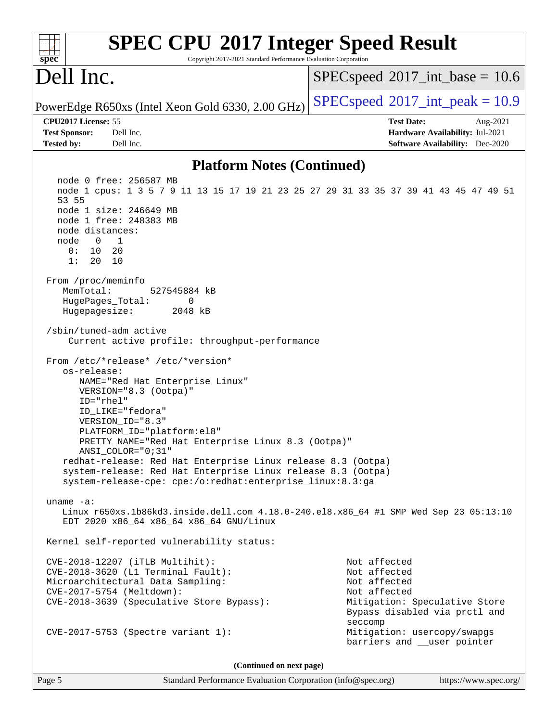| <b>SPEC CPU®2017 Integer Speed Result</b><br>spec<br>Copyright 2017-2021 Standard Performance Evaluation Corporation                                                                                                                                                                                                                                                                                                                                                                                                                                                                                                                                                                                                                                                                                                                                                               |                                                                                                                                           |  |  |  |  |
|------------------------------------------------------------------------------------------------------------------------------------------------------------------------------------------------------------------------------------------------------------------------------------------------------------------------------------------------------------------------------------------------------------------------------------------------------------------------------------------------------------------------------------------------------------------------------------------------------------------------------------------------------------------------------------------------------------------------------------------------------------------------------------------------------------------------------------------------------------------------------------|-------------------------------------------------------------------------------------------------------------------------------------------|--|--|--|--|
| Dell Inc.                                                                                                                                                                                                                                                                                                                                                                                                                                                                                                                                                                                                                                                                                                                                                                                                                                                                          | $SPEC speed^{\circ}2017\_int\_base = 10.6$                                                                                                |  |  |  |  |
| PowerEdge R650xs (Intel Xeon Gold 6330, 2.00 GHz)                                                                                                                                                                                                                                                                                                                                                                                                                                                                                                                                                                                                                                                                                                                                                                                                                                  | $SPEC speed^{\circ}2017\_int\_peak = 10.9$                                                                                                |  |  |  |  |
| CPU2017 License: 55<br><b>Test Sponsor:</b><br>Dell Inc.<br><b>Tested by:</b><br>Dell Inc.                                                                                                                                                                                                                                                                                                                                                                                                                                                                                                                                                                                                                                                                                                                                                                                         | <b>Test Date:</b><br>Aug-2021<br>Hardware Availability: Jul-2021<br><b>Software Availability:</b> Dec-2020                                |  |  |  |  |
| <b>Platform Notes (Continued)</b>                                                                                                                                                                                                                                                                                                                                                                                                                                                                                                                                                                                                                                                                                                                                                                                                                                                  |                                                                                                                                           |  |  |  |  |
| node 0 free: 256587 MB<br>node 1 cpus: 1 3 5 7 9 11 13 15 17 19 21 23 25 27 29 31 33 35 37 39 41 43 45 47 49 51<br>53 55<br>node 1 size: 246649 MB<br>node 1 free: 248383 MB<br>node distances:<br>$\overline{0}$<br>node<br>$\overline{1}$<br>10<br>20<br>0:<br>1:<br>20<br>10<br>From /proc/meminfo<br>MemTotal:<br>527545884 kB<br>HugePages_Total:<br>0<br>Hugepagesize:<br>2048 kB<br>/sbin/tuned-adm active<br>Current active profile: throughput-performance<br>From /etc/*release* /etc/*version*<br>os-release:<br>NAME="Red Hat Enterprise Linux"<br>VERSION="8.3 (Ootpa)"<br>ID="rhel"<br>ID_LIKE="fedora"<br>VERSION_ID="8.3"<br>PLATFORM_ID="platform:el8"<br>PRETTY_NAME="Red Hat Enterprise Linux 8.3 (Ootpa)"<br>ANSI COLOR="0;31"<br>redhat-release: Red Hat Enterprise Linux release 8.3 (Ootpa)<br>system-release: Red Hat Enterprise Linux release 8.3 (Ootpa) |                                                                                                                                           |  |  |  |  |
| system-release-cpe: cpe:/o:redhat:enterprise_linux:8.3:ga<br>uname $-a$ :                                                                                                                                                                                                                                                                                                                                                                                                                                                                                                                                                                                                                                                                                                                                                                                                          |                                                                                                                                           |  |  |  |  |
| Linux r650xs.1b86kd3.inside.dell.com 4.18.0-240.el8.x86_64 #1 SMP Wed Sep 23 05:13:10<br>EDT 2020 x86_64 x86_64 x86_64 GNU/Linux                                                                                                                                                                                                                                                                                                                                                                                                                                                                                                                                                                                                                                                                                                                                                   |                                                                                                                                           |  |  |  |  |
| Kernel self-reported vulnerability status:                                                                                                                                                                                                                                                                                                                                                                                                                                                                                                                                                                                                                                                                                                                                                                                                                                         |                                                                                                                                           |  |  |  |  |
| $CVE-2018-12207$ (iTLB Multihit):<br>CVE-2018-3620 (L1 Terminal Fault):<br>Microarchitectural Data Sampling:<br>CVE-2017-5754 (Meltdown):<br>CVE-2018-3639 (Speculative Store Bypass):                                                                                                                                                                                                                                                                                                                                                                                                                                                                                                                                                                                                                                                                                             | Not affected<br>Not affected<br>Not affected<br>Not affected<br>Mitigation: Speculative Store<br>Bypass disabled via prctl and<br>seccomp |  |  |  |  |
| CVE-2017-5753 (Spectre variant 1):                                                                                                                                                                                                                                                                                                                                                                                                                                                                                                                                                                                                                                                                                                                                                                                                                                                 | Mitigation: usercopy/swapgs<br>barriers and __user pointer                                                                                |  |  |  |  |
| (Continued on next page)                                                                                                                                                                                                                                                                                                                                                                                                                                                                                                                                                                                                                                                                                                                                                                                                                                                           |                                                                                                                                           |  |  |  |  |

Page 5 Standard Performance Evaluation Corporation [\(info@spec.org\)](mailto:info@spec.org) <https://www.spec.org/>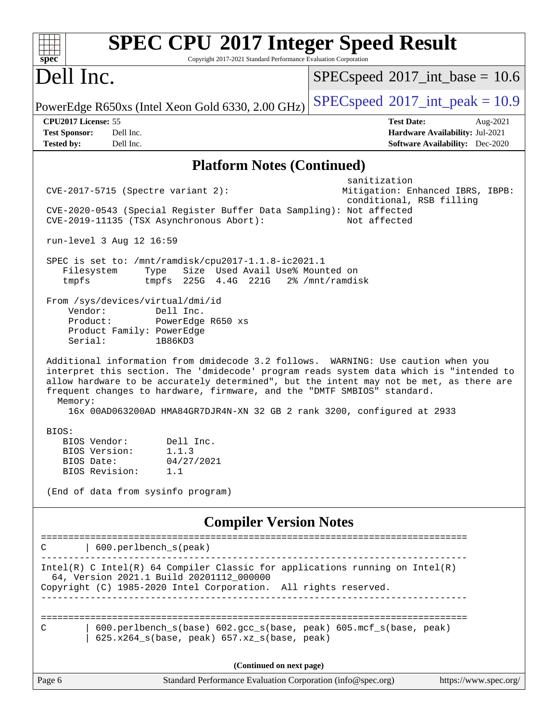| <b>SPEC CPU®2017 Integer Speed Result</b><br>Copyright 2017-2021 Standard Performance Evaluation Corporation<br>spec <sup>®</sup>                                                                                                                                                                                                                                                                                                        |                                                                                                            |
|------------------------------------------------------------------------------------------------------------------------------------------------------------------------------------------------------------------------------------------------------------------------------------------------------------------------------------------------------------------------------------------------------------------------------------------|------------------------------------------------------------------------------------------------------------|
| Dell Inc.                                                                                                                                                                                                                                                                                                                                                                                                                                | $SPEC speed^{\circ}2017\_int\_base = 10.6$                                                                 |
| PowerEdge R650xs (Intel Xeon Gold 6330, 2.00 GHz)                                                                                                                                                                                                                                                                                                                                                                                        | $SPEC speed^{\circ}2017\_int\_peak = 10.9$                                                                 |
| CPU2017 License: 55<br>Dell Inc.<br><b>Test Sponsor:</b><br>Dell Inc.<br><b>Tested by:</b>                                                                                                                                                                                                                                                                                                                                               | <b>Test Date:</b><br>Aug-2021<br>Hardware Availability: Jul-2021<br><b>Software Availability:</b> Dec-2020 |
| <b>Platform Notes (Continued)</b>                                                                                                                                                                                                                                                                                                                                                                                                        |                                                                                                            |
| $CVE-2017-5715$ (Spectre variant 2):<br>CVE-2020-0543 (Special Register Buffer Data Sampling): Not affected<br>CVE-2019-11135 (TSX Asynchronous Abort):                                                                                                                                                                                                                                                                                  | sanitization<br>Mitigation: Enhanced IBRS, IBPB:<br>conditional, RSB filling<br>Not affected               |
| run-level 3 Aug 12 16:59                                                                                                                                                                                                                                                                                                                                                                                                                 |                                                                                                            |
| SPEC is set to: /mnt/ramdisk/cpu2017-1.1.8-ic2021.1<br>Size Used Avail Use% Mounted on<br>Filesystem<br>Type<br>tmpfs 225G 4.4G 221G 2% /mnt/ramdisk<br>tmpfs                                                                                                                                                                                                                                                                            |                                                                                                            |
| From /sys/devices/virtual/dmi/id<br>Vendor:<br>Dell Inc.<br>Product:<br>PowerEdge R650 xs<br>Product Family: PowerEdge<br>Serial:<br>1B86KD3                                                                                                                                                                                                                                                                                             |                                                                                                            |
| Additional information from dmidecode 3.2 follows. WARNING: Use caution when you<br>interpret this section. The 'dmidecode' program reads system data which is "intended to<br>allow hardware to be accurately determined", but the intent may not be met, as there are<br>frequent changes to hardware, firmware, and the "DMTF SMBIOS" standard.<br>Memory:<br>16x 00AD063200AD HMA84GR7DJR4N-XN 32 GB 2 rank 3200, configured at 2933 |                                                                                                            |
| BIOS:<br>Dell Inc.<br>BIOS Vendor:<br>BIOS Version:<br>1.1.3<br>BIOS Date:<br>04/27/2021<br>BIOS Revision:<br>1.1<br>(End of data from sysinfo program)                                                                                                                                                                                                                                                                                  |                                                                                                            |
| <b>Compiler Version Notes</b>                                                                                                                                                                                                                                                                                                                                                                                                            |                                                                                                            |
| 600.perlbench_s(peak)                                                                                                                                                                                                                                                                                                                                                                                                                    |                                                                                                            |
| Intel(R) C Intel(R) 64 Compiler Classic for applications running on Intel(R)<br>64, Version 2021.1 Build 20201112_000000<br>Copyright (C) 1985-2020 Intel Corporation. All rights reserved.                                                                                                                                                                                                                                              |                                                                                                            |
| 600.perlbench_s(base) 602.gcc_s(base, peak) 605.mcf_s(base, peak)<br>С<br>625.x264_s(base, peak) 657.xz_s(base, peak)                                                                                                                                                                                                                                                                                                                    |                                                                                                            |
| (Continued on next page)                                                                                                                                                                                                                                                                                                                                                                                                                 |                                                                                                            |
| Standard Performance Evaluation Corporation (info@spec.org)<br>Page 6                                                                                                                                                                                                                                                                                                                                                                    | https://www.spec.org/                                                                                      |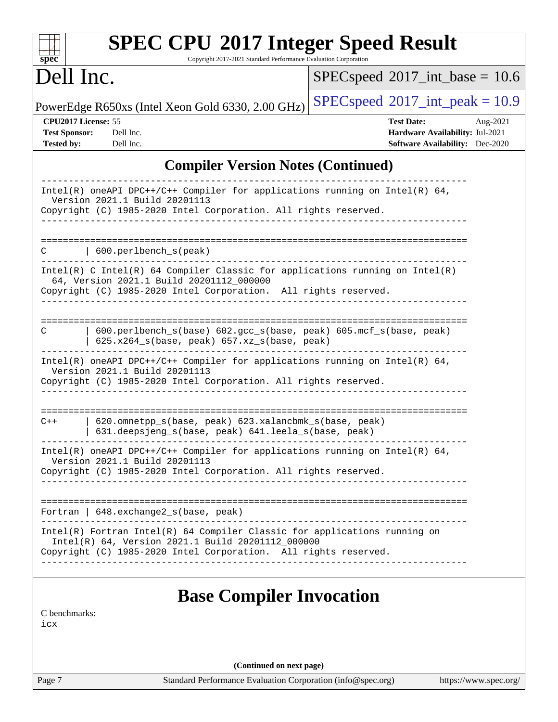| <b>SPEC CPU®2017 Integer Speed Result</b><br>Copyright 2017-2021 Standard Performance Evaluation Corporation<br>$spec^*$                                                                                                                                                                                                                     |                                                                                                            |  |  |  |  |
|----------------------------------------------------------------------------------------------------------------------------------------------------------------------------------------------------------------------------------------------------------------------------------------------------------------------------------------------|------------------------------------------------------------------------------------------------------------|--|--|--|--|
| Dell Inc.                                                                                                                                                                                                                                                                                                                                    | $SPEC speed^{\circ}2017\_int\_base = 10.6$                                                                 |  |  |  |  |
| PowerEdge R650xs (Intel Xeon Gold 6330, 2.00 GHz)                                                                                                                                                                                                                                                                                            | $SPEC speed^{\circ}2017\_int\_peak = 10.9$                                                                 |  |  |  |  |
| CPU2017 License: 55<br><b>Test Sponsor:</b><br>Dell Inc.<br>Dell Inc.<br><b>Tested by:</b>                                                                                                                                                                                                                                                   | <b>Test Date:</b><br>Aug-2021<br>Hardware Availability: Jul-2021<br><b>Software Availability:</b> Dec-2020 |  |  |  |  |
| <b>Compiler Version Notes (Continued)</b>                                                                                                                                                                                                                                                                                                    |                                                                                                            |  |  |  |  |
| $Intel(R)$ oneAPI DPC++/C++ Compiler for applications running on Intel(R) 64,<br>Version 2021.1 Build 20201113<br>Copyright (C) 1985-2020 Intel Corporation. All rights reserved.                                                                                                                                                            |                                                                                                            |  |  |  |  |
| 600.perlbench_s(peak)<br>С<br>$Intel(R)$ C Intel(R) 64 Compiler Classic for applications running on Intel(R)<br>64, Version 2021.1 Build 20201112_000000<br>Copyright (C) 1985-2020 Intel Corporation. All rights reserved.                                                                                                                  | =================================                                                                          |  |  |  |  |
| 600.perlbench_s(base) 602.gcc_s(base, peak) 605.mcf_s(base, peak)<br>С<br>625.x264_s(base, peak) 657.xz_s(base, peak)<br>Intel(R) oneAPI DPC++/C++ Compiler for applications running on Intel(R) $64$ ,<br>Version 2021.1 Build 20201113<br>Copyright (C) 1985-2020 Intel Corporation. All rights reserved.                                  |                                                                                                            |  |  |  |  |
| ------------------------------<br>620.omnetpp_s(base, peak) 623.xalancbmk_s(base, peak)<br>$C++$<br>631.deepsjeng_s(base, peak) 641.leela_s(base, peak)<br>$Intel(R)$ oneAPI DPC++/C++ Compiler for applications running on Intel(R) 64,<br>Version 2021.1 Build 20201113<br>Copyright (C) 1985-2020 Intel Corporation. All rights reserved. | =====================================                                                                      |  |  |  |  |
| Fortran   648.exchange2_s(base, peak)<br>Intel(R) Fortran Intel(R) 64 Compiler Classic for applications running on<br>Intel(R) 64, Version 2021.1 Build 20201112_000000<br>Copyright (C) 1985-2020 Intel Corporation. All rights reserved.                                                                                                   |                                                                                                            |  |  |  |  |
| <b>Base Compiler Invocation</b><br>C benchmarks:<br>icx                                                                                                                                                                                                                                                                                      |                                                                                                            |  |  |  |  |
| (Continued on next page)                                                                                                                                                                                                                                                                                                                     |                                                                                                            |  |  |  |  |
| Standard Performance Evaluation Corporation (info@spec.org)<br>Page 7                                                                                                                                                                                                                                                                        | https://www.spec.org/                                                                                      |  |  |  |  |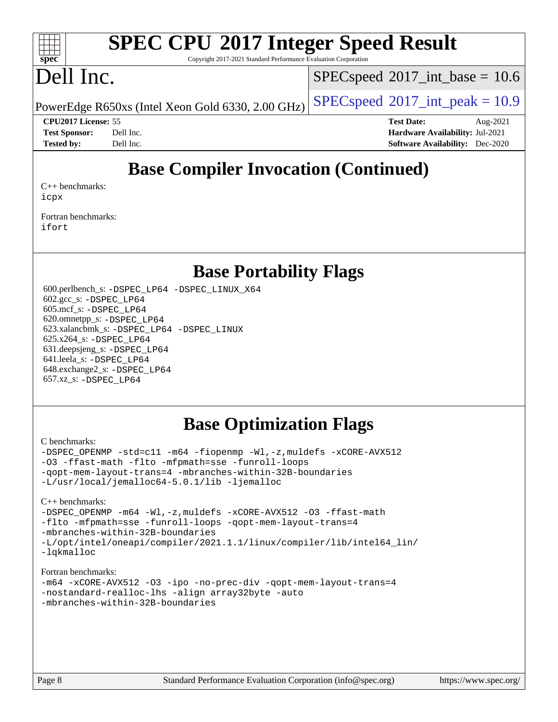#### $\pm t$ **[spec](http://www.spec.org/)**

# **[SPEC CPU](http://www.spec.org/auto/cpu2017/Docs/result-fields.html#SPECCPU2017IntegerSpeedResult)[2017 Integer Speed Result](http://www.spec.org/auto/cpu2017/Docs/result-fields.html#SPECCPU2017IntegerSpeedResult)**

Copyright 2017-2021 Standard Performance Evaluation Corporation

## Dell Inc.

 $SPECspeed^{\circ}2017\_int\_base = 10.6$  $SPECspeed^{\circ}2017\_int\_base = 10.6$ 

PowerEdge R650xs (Intel Xeon Gold 6330, 2.00 GHz)  $\left|$  [SPECspeed](http://www.spec.org/auto/cpu2017/Docs/result-fields.html#SPECspeed2017intpeak)<sup>®</sup>[2017\\_int\\_peak = 1](http://www.spec.org/auto/cpu2017/Docs/result-fields.html#SPECspeed2017intpeak)0.9

**[CPU2017 License:](http://www.spec.org/auto/cpu2017/Docs/result-fields.html#CPU2017License)** 55 **[Test Date:](http://www.spec.org/auto/cpu2017/Docs/result-fields.html#TestDate)** Aug-2021 **[Test Sponsor:](http://www.spec.org/auto/cpu2017/Docs/result-fields.html#TestSponsor)** Dell Inc. **[Hardware Availability:](http://www.spec.org/auto/cpu2017/Docs/result-fields.html#HardwareAvailability)** Jul-2021 **[Tested by:](http://www.spec.org/auto/cpu2017/Docs/result-fields.html#Testedby)** Dell Inc. **[Software Availability:](http://www.spec.org/auto/cpu2017/Docs/result-fields.html#SoftwareAvailability)** Dec-2020

## **[Base Compiler Invocation \(Continued\)](http://www.spec.org/auto/cpu2017/Docs/result-fields.html#BaseCompilerInvocation)**

[C++ benchmarks:](http://www.spec.org/auto/cpu2017/Docs/result-fields.html#CXXbenchmarks) [icpx](http://www.spec.org/cpu2017/results/res2021q3/cpu2017-20210827-28967.flags.html#user_CXXbase_intel_icpx_1e918ed14c436bf4b9b7c8bcdd51d4539fc71b3df010bd1e9f8732d9c34c2b2914e48204a846820f3c0ebb4095dea797a5c30b458ac0b6dffac65d78f781f5ca)

[Fortran benchmarks](http://www.spec.org/auto/cpu2017/Docs/result-fields.html#Fortranbenchmarks): [ifort](http://www.spec.org/cpu2017/results/res2021q3/cpu2017-20210827-28967.flags.html#user_FCbase_intel_ifort_8111460550e3ca792625aed983ce982f94888b8b503583aa7ba2b8303487b4d8a21a13e7191a45c5fd58ff318f48f9492884d4413fa793fd88dd292cad7027ca)

### **[Base Portability Flags](http://www.spec.org/auto/cpu2017/Docs/result-fields.html#BasePortabilityFlags)**

 600.perlbench\_s: [-DSPEC\\_LP64](http://www.spec.org/cpu2017/results/res2021q3/cpu2017-20210827-28967.flags.html#b600.perlbench_s_basePORTABILITY_DSPEC_LP64) [-DSPEC\\_LINUX\\_X64](http://www.spec.org/cpu2017/results/res2021q3/cpu2017-20210827-28967.flags.html#b600.perlbench_s_baseCPORTABILITY_DSPEC_LINUX_X64) 602.gcc\_s: [-DSPEC\\_LP64](http://www.spec.org/cpu2017/results/res2021q3/cpu2017-20210827-28967.flags.html#suite_basePORTABILITY602_gcc_s_DSPEC_LP64) 605.mcf\_s: [-DSPEC\\_LP64](http://www.spec.org/cpu2017/results/res2021q3/cpu2017-20210827-28967.flags.html#suite_basePORTABILITY605_mcf_s_DSPEC_LP64) 620.omnetpp\_s: [-DSPEC\\_LP64](http://www.spec.org/cpu2017/results/res2021q3/cpu2017-20210827-28967.flags.html#suite_basePORTABILITY620_omnetpp_s_DSPEC_LP64) 623.xalancbmk\_s: [-DSPEC\\_LP64](http://www.spec.org/cpu2017/results/res2021q3/cpu2017-20210827-28967.flags.html#suite_basePORTABILITY623_xalancbmk_s_DSPEC_LP64) [-DSPEC\\_LINUX](http://www.spec.org/cpu2017/results/res2021q3/cpu2017-20210827-28967.flags.html#b623.xalancbmk_s_baseCXXPORTABILITY_DSPEC_LINUX) 625.x264\_s: [-DSPEC\\_LP64](http://www.spec.org/cpu2017/results/res2021q3/cpu2017-20210827-28967.flags.html#suite_basePORTABILITY625_x264_s_DSPEC_LP64) 631.deepsjeng\_s: [-DSPEC\\_LP64](http://www.spec.org/cpu2017/results/res2021q3/cpu2017-20210827-28967.flags.html#suite_basePORTABILITY631_deepsjeng_s_DSPEC_LP64) 641.leela\_s: [-DSPEC\\_LP64](http://www.spec.org/cpu2017/results/res2021q3/cpu2017-20210827-28967.flags.html#suite_basePORTABILITY641_leela_s_DSPEC_LP64) 648.exchange2\_s: [-DSPEC\\_LP64](http://www.spec.org/cpu2017/results/res2021q3/cpu2017-20210827-28967.flags.html#suite_basePORTABILITY648_exchange2_s_DSPEC_LP64) 657.xz\_s: [-DSPEC\\_LP64](http://www.spec.org/cpu2017/results/res2021q3/cpu2017-20210827-28967.flags.html#suite_basePORTABILITY657_xz_s_DSPEC_LP64)

## **[Base Optimization Flags](http://www.spec.org/auto/cpu2017/Docs/result-fields.html#BaseOptimizationFlags)**

#### [C benchmarks](http://www.spec.org/auto/cpu2017/Docs/result-fields.html#Cbenchmarks):

[-DSPEC\\_OPENMP](http://www.spec.org/cpu2017/results/res2021q3/cpu2017-20210827-28967.flags.html#suite_CCbase_DSPEC_OPENMP) [-std=c11](http://www.spec.org/cpu2017/results/res2021q3/cpu2017-20210827-28967.flags.html#user_CCbase_std-icc-std_0e1c27790398a4642dfca32ffe6c27b5796f9c2d2676156f2e42c9c44eaad0c049b1cdb667a270c34d979996257aeb8fc440bfb01818dbc9357bd9d174cb8524) [-m64](http://www.spec.org/cpu2017/results/res2021q3/cpu2017-20210827-28967.flags.html#user_CCbase_m64-icc) [-fiopenmp](http://www.spec.org/cpu2017/results/res2021q3/cpu2017-20210827-28967.flags.html#user_CCbase_fiopenmp_4cde26b3fcccd23bd0bb70af4efc204325d72839eefa1147e34201101709f20b3deb62aad96701dea148529bf4ca48c90b72f3bf837ca148e297cf8a0ba6feb7) [-Wl,-z,muldefs](http://www.spec.org/cpu2017/results/res2021q3/cpu2017-20210827-28967.flags.html#user_CCbase_link_force_multiple1_b4cbdb97b34bdee9ceefcfe54f4c8ea74255f0b02a4b23e853cdb0e18eb4525ac79b5a88067c842dd0ee6996c24547a27a4b99331201badda8798ef8a743f577) [-xCORE-AVX512](http://www.spec.org/cpu2017/results/res2021q3/cpu2017-20210827-28967.flags.html#user_CCbase_f-xCORE-AVX512) [-O3](http://www.spec.org/cpu2017/results/res2021q3/cpu2017-20210827-28967.flags.html#user_CCbase_f-O3) [-ffast-math](http://www.spec.org/cpu2017/results/res2021q3/cpu2017-20210827-28967.flags.html#user_CCbase_f-ffast-math) [-flto](http://www.spec.org/cpu2017/results/res2021q3/cpu2017-20210827-28967.flags.html#user_CCbase_f-flto) [-mfpmath=sse](http://www.spec.org/cpu2017/results/res2021q3/cpu2017-20210827-28967.flags.html#user_CCbase_f-mfpmath_70eb8fac26bde974f8ab713bc9086c5621c0b8d2f6c86f38af0bd7062540daf19db5f3a066d8c6684be05d84c9b6322eb3b5be6619d967835195b93d6c02afa1) [-funroll-loops](http://www.spec.org/cpu2017/results/res2021q3/cpu2017-20210827-28967.flags.html#user_CCbase_f-funroll-loops) [-qopt-mem-layout-trans=4](http://www.spec.org/cpu2017/results/res2021q3/cpu2017-20210827-28967.flags.html#user_CCbase_f-qopt-mem-layout-trans_fa39e755916c150a61361b7846f310bcdf6f04e385ef281cadf3647acec3f0ae266d1a1d22d972a7087a248fd4e6ca390a3634700869573d231a252c784941a8) [-mbranches-within-32B-boundaries](http://www.spec.org/cpu2017/results/res2021q3/cpu2017-20210827-28967.flags.html#user_CCbase_f-mbranches-within-32B-boundaries) [-L/usr/local/jemalloc64-5.0.1/lib](http://www.spec.org/cpu2017/results/res2021q3/cpu2017-20210827-28967.flags.html#user_CCbase_jemalloc_link_path64_1_cc289568b1a6c0fd3b62c91b824c27fcb5af5e8098e6ad028160d21144ef1b8aef3170d2acf0bee98a8da324cfe4f67d0a3d0c4cc4673d993d694dc2a0df248b) [-ljemalloc](http://www.spec.org/cpu2017/results/res2021q3/cpu2017-20210827-28967.flags.html#user_CCbase_jemalloc_link_lib_d1249b907c500fa1c0672f44f562e3d0f79738ae9e3c4a9c376d49f265a04b9c99b167ecedbf6711b3085be911c67ff61f150a17b3472be731631ba4d0471706)

[C++ benchmarks:](http://www.spec.org/auto/cpu2017/Docs/result-fields.html#CXXbenchmarks) [-DSPEC\\_OPENMP](http://www.spec.org/cpu2017/results/res2021q3/cpu2017-20210827-28967.flags.html#suite_CXXbase_DSPEC_OPENMP) [-m64](http://www.spec.org/cpu2017/results/res2021q3/cpu2017-20210827-28967.flags.html#user_CXXbase_m64-icc) [-Wl,-z,muldefs](http://www.spec.org/cpu2017/results/res2021q3/cpu2017-20210827-28967.flags.html#user_CXXbase_link_force_multiple1_b4cbdb97b34bdee9ceefcfe54f4c8ea74255f0b02a4b23e853cdb0e18eb4525ac79b5a88067c842dd0ee6996c24547a27a4b99331201badda8798ef8a743f577) [-xCORE-AVX512](http://www.spec.org/cpu2017/results/res2021q3/cpu2017-20210827-28967.flags.html#user_CXXbase_f-xCORE-AVX512) [-O3](http://www.spec.org/cpu2017/results/res2021q3/cpu2017-20210827-28967.flags.html#user_CXXbase_f-O3) [-ffast-math](http://www.spec.org/cpu2017/results/res2021q3/cpu2017-20210827-28967.flags.html#user_CXXbase_f-ffast-math) [-flto](http://www.spec.org/cpu2017/results/res2021q3/cpu2017-20210827-28967.flags.html#user_CXXbase_f-flto) [-mfpmath=sse](http://www.spec.org/cpu2017/results/res2021q3/cpu2017-20210827-28967.flags.html#user_CXXbase_f-mfpmath_70eb8fac26bde974f8ab713bc9086c5621c0b8d2f6c86f38af0bd7062540daf19db5f3a066d8c6684be05d84c9b6322eb3b5be6619d967835195b93d6c02afa1) [-funroll-loops](http://www.spec.org/cpu2017/results/res2021q3/cpu2017-20210827-28967.flags.html#user_CXXbase_f-funroll-loops) [-qopt-mem-layout-trans=4](http://www.spec.org/cpu2017/results/res2021q3/cpu2017-20210827-28967.flags.html#user_CXXbase_f-qopt-mem-layout-trans_fa39e755916c150a61361b7846f310bcdf6f04e385ef281cadf3647acec3f0ae266d1a1d22d972a7087a248fd4e6ca390a3634700869573d231a252c784941a8) [-mbranches-within-32B-boundaries](http://www.spec.org/cpu2017/results/res2021q3/cpu2017-20210827-28967.flags.html#user_CXXbase_f-mbranches-within-32B-boundaries) [-L/opt/intel/oneapi/compiler/2021.1.1/linux/compiler/lib/intel64\\_lin/](http://www.spec.org/cpu2017/results/res2021q3/cpu2017-20210827-28967.flags.html#user_CXXbase_linkpath_765a8c93c4ea33dfc565a33ecb48f4f7d02a6338709b3b362f341eb203a06426ce1d12ded4c7809f6ab6cf0e9f5515cffeb4efc405b63f85dc27a83bbbdeb3a3) [-lqkmalloc](http://www.spec.org/cpu2017/results/res2021q3/cpu2017-20210827-28967.flags.html#user_CXXbase_qkmalloc_link_lib_79a818439969f771c6bc311cfd333c00fc099dad35c030f5aab9dda831713d2015205805422f83de8875488a2991c0a156aaa600e1f9138f8fc37004abc96dc5)

#### [Fortran benchmarks](http://www.spec.org/auto/cpu2017/Docs/result-fields.html#Fortranbenchmarks):

```
-m64 -xCORE-AVX512 -O3 -ipo -no-prec-div -qopt-mem-layout-trans=4
-nostandard-realloc-lhs -align array32byte -auto
-mbranches-within-32B-boundaries
```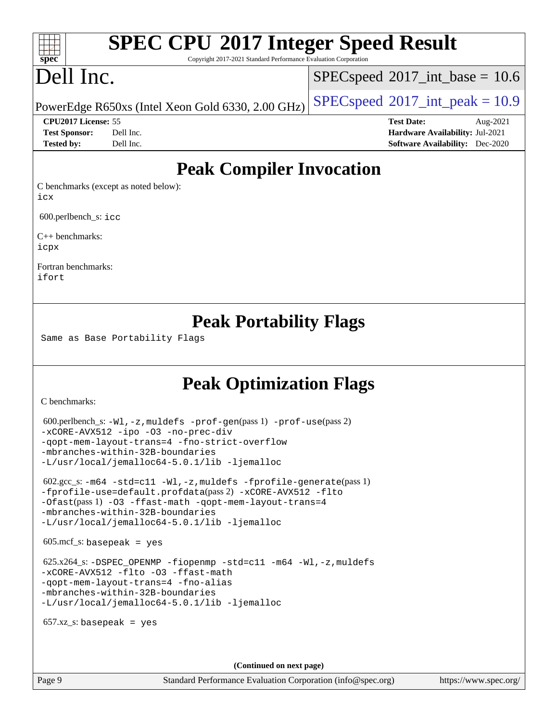# **[SPEC CPU](http://www.spec.org/auto/cpu2017/Docs/result-fields.html#SPECCPU2017IntegerSpeedResult)[2017 Integer Speed Result](http://www.spec.org/auto/cpu2017/Docs/result-fields.html#SPECCPU2017IntegerSpeedResult)**

Copyright 2017-2021 Standard Performance Evaluation Corporation

# Dell Inc.

**[spec](http://www.spec.org/)**

 $+\ +$ 

 $SPECspeed^{\circ}2017\_int\_base = 10.6$  $SPECspeed^{\circ}2017\_int\_base = 10.6$ 

PowerEdge R650xs (Intel Xeon Gold 6330, 2.00 GHz)  $\left|$  [SPECspeed](http://www.spec.org/auto/cpu2017/Docs/result-fields.html#SPECspeed2017intpeak)<sup>®</sup>[2017\\_int\\_peak = 1](http://www.spec.org/auto/cpu2017/Docs/result-fields.html#SPECspeed2017intpeak)0.9

**[CPU2017 License:](http://www.spec.org/auto/cpu2017/Docs/result-fields.html#CPU2017License)** 55 **[Test Date:](http://www.spec.org/auto/cpu2017/Docs/result-fields.html#TestDate)** Aug-2021 **[Test Sponsor:](http://www.spec.org/auto/cpu2017/Docs/result-fields.html#TestSponsor)** Dell Inc. **[Hardware Availability:](http://www.spec.org/auto/cpu2017/Docs/result-fields.html#HardwareAvailability)** Jul-2021 **[Tested by:](http://www.spec.org/auto/cpu2017/Docs/result-fields.html#Testedby)** Dell Inc. **[Software Availability:](http://www.spec.org/auto/cpu2017/Docs/result-fields.html#SoftwareAvailability)** Dec-2020

## **[Peak Compiler Invocation](http://www.spec.org/auto/cpu2017/Docs/result-fields.html#PeakCompilerInvocation)**

[C benchmarks \(except as noted below\)](http://www.spec.org/auto/cpu2017/Docs/result-fields.html#Cbenchmarksexceptasnotedbelow): [icx](http://www.spec.org/cpu2017/results/res2021q3/cpu2017-20210827-28967.flags.html#user_CCpeak_intel_icx_fe2d28d19ae2a5db7c42fe0f2a2aed77cb715edd4aeb23434404a8be6683fe239869bb6ca8154ca98265c2e3b9226a719a0efe2953a4a7018c379b7010ccf087)

600.perlbench\_s: [icc](http://www.spec.org/cpu2017/results/res2021q3/cpu2017-20210827-28967.flags.html#user_peakCCLD600_perlbench_s_intel_icc_66fc1ee009f7361af1fbd72ca7dcefbb700085f36577c54f309893dd4ec40d12360134090235512931783d35fd58c0460139e722d5067c5574d8eaf2b3e37e92)

[C++ benchmarks:](http://www.spec.org/auto/cpu2017/Docs/result-fields.html#CXXbenchmarks) [icpx](http://www.spec.org/cpu2017/results/res2021q3/cpu2017-20210827-28967.flags.html#user_CXXpeak_intel_icpx_1e918ed14c436bf4b9b7c8bcdd51d4539fc71b3df010bd1e9f8732d9c34c2b2914e48204a846820f3c0ebb4095dea797a5c30b458ac0b6dffac65d78f781f5ca)

[Fortran benchmarks](http://www.spec.org/auto/cpu2017/Docs/result-fields.html#Fortranbenchmarks): [ifort](http://www.spec.org/cpu2017/results/res2021q3/cpu2017-20210827-28967.flags.html#user_FCpeak_intel_ifort_8111460550e3ca792625aed983ce982f94888b8b503583aa7ba2b8303487b4d8a21a13e7191a45c5fd58ff318f48f9492884d4413fa793fd88dd292cad7027ca)

## **[Peak Portability Flags](http://www.spec.org/auto/cpu2017/Docs/result-fields.html#PeakPortabilityFlags)**

Same as Base Portability Flags

## **[Peak Optimization Flags](http://www.spec.org/auto/cpu2017/Docs/result-fields.html#PeakOptimizationFlags)**

[C benchmarks](http://www.spec.org/auto/cpu2017/Docs/result-fields.html#Cbenchmarks):

```
 600.perlbench_s: -Wl,-z,muldefs -prof-gen(pass 1) -prof-use(pass 2)
-xCORE-AVX512 -ipo -O3 -no-prec-div
-qopt-mem-layout-trans=4 -fno-strict-overflow
-mbranches-within-32B-boundaries
-L/usr/local/jemalloc64-5.0.1/lib -ljemalloc
 602.gcc_s: -m64 -std=c11 -Wl,-z,muldefs -fprofile-generate(pass 1)
-fprofile-use=default.profdata(pass 2) -xCORE-AVX512 -flto
-Ofast(pass 1) -O3 -ffast-math -qopt-mem-layout-trans=4
-mbranches-within-32B-boundaries
-L/usr/local/jemalloc64-5.0.1/lib -ljemalloc
605 \text{.mcf}\text{-}\mathrm{s}: basepeak = yes
625.x264-fiopenmp-std=c11-m64-Wl,-z,muldefs
-xCORE-AVX512 -flto -O3 -ffast-math
-qopt-mem-layout-trans=4 -fno-alias
-mbranches-within-32B-boundaries
-L/usr/local/jemalloc64-5.0.1/lib -ljemalloc
657.xz s: basepeak = yes
                                     (Continued on next page)
```